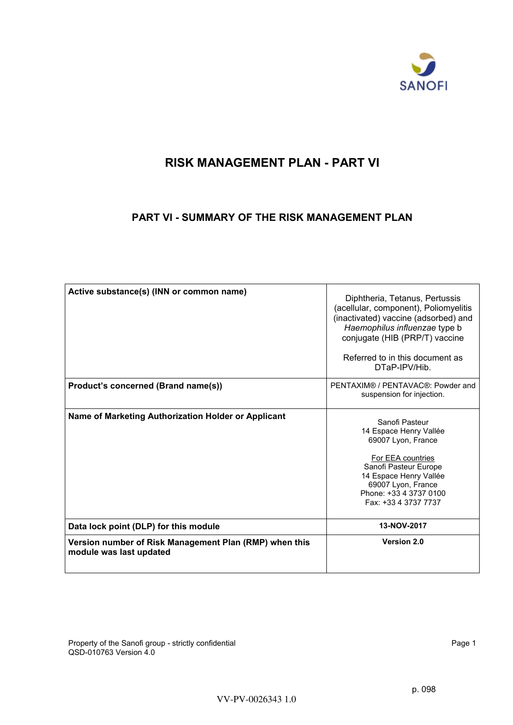

# <span id="page-0-0"></span>**RISK MANAGEMENT PLAN - PART VI**

## **PART VI - SUMMARY OF THE RISK MANAGEMENT PLAN**

| Active substance(s) (INN or common name)                                          | Diphtheria, Tetanus, Pertussis<br>(acellular, component), Poliomyelitis<br>(inactivated) vaccine (adsorbed) and<br>Haemophilus influenzae type b<br>conjugate (HIB (PRP/T) vaccine<br>Referred to in this document as<br>DTaP-IPV/Hib. |
|-----------------------------------------------------------------------------------|----------------------------------------------------------------------------------------------------------------------------------------------------------------------------------------------------------------------------------------|
| Product's concerned (Brand name(s))                                               | PENTAXIM® / PENTAVAC®: Powder and<br>suspension for injection.                                                                                                                                                                         |
| Name of Marketing Authorization Holder or Applicant                               | Sanofi Pasteur<br>14 Espace Henry Vallée<br>69007 Lyon, France<br>For EEA countries<br>Sanofi Pasteur Europe<br>14 Espace Henry Vallée<br>69007 Lyon, France<br>Phone: +33 4 3737 0100<br>Fax: +33 4 3737 7737                         |
| Data lock point (DLP) for this module                                             | 13-NOV-2017                                                                                                                                                                                                                            |
| Version number of Risk Management Plan (RMP) when this<br>module was last updated | Version 2.0                                                                                                                                                                                                                            |

Property of the Sanofi group - strictly confidential example of the Sanofi group - strictly confidential Page 1 QSD-010763 Version 4.0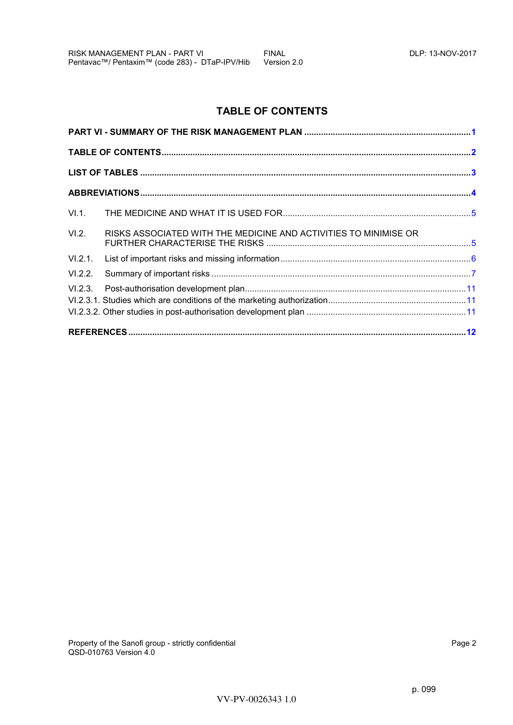# **TABLE OF CONTENTS**

<span id="page-1-0"></span>

| VI.2.   | RISKS ASSOCIATED WITH THE MEDICINE AND ACTIVITIES TO MINIMISE OR |  |
|---------|------------------------------------------------------------------|--|
| VI.2.1. |                                                                  |  |
| VI.2.2. |                                                                  |  |
|         |                                                                  |  |
|         |                                                                  |  |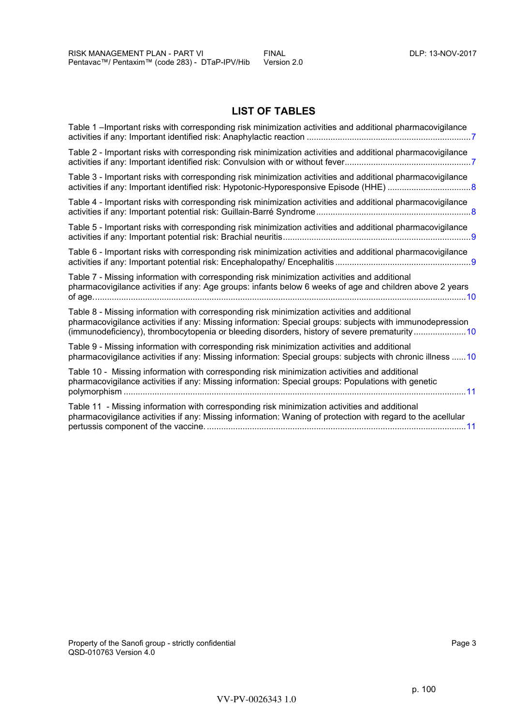## **LIST OF TABLES**

<span id="page-2-0"></span>

| Table 1 –Important risks with corresponding risk minimization activities and additional pharmacovigilance                                                                                                                                                                                               |
|---------------------------------------------------------------------------------------------------------------------------------------------------------------------------------------------------------------------------------------------------------------------------------------------------------|
| Table 2 - Important risks with corresponding risk minimization activities and additional pharmacovigilance                                                                                                                                                                                              |
| Table 3 - Important risks with corresponding risk minimization activities and additional pharmacovigilance                                                                                                                                                                                              |
| Table 4 - Important risks with corresponding risk minimization activities and additional pharmacovigilance                                                                                                                                                                                              |
| Table 5 - Important risks with corresponding risk minimization activities and additional pharmacovigilance                                                                                                                                                                                              |
| Table 6 - Important risks with corresponding risk minimization activities and additional pharmacovigilance                                                                                                                                                                                              |
| Table 7 - Missing information with corresponding risk minimization activities and additional<br>pharmacovigilance activities if any: Age groups: infants below 6 weeks of age and children above 2 years                                                                                                |
| Table 8 - Missing information with corresponding risk minimization activities and additional<br>pharmacovigilance activities if any: Missing information: Special groups: subjects with immunodepression<br>(immunodeficiency), thrombocytopenia or bleeding disorders, history of severe prematurity10 |
| Table 9 - Missing information with corresponding risk minimization activities and additional<br>pharmacovigilance activities if any: Missing information: Special groups: subjects with chronic illness 10                                                                                              |
| Table 10 - Missing information with corresponding risk minimization activities and additional<br>pharmacovigilance activities if any: Missing information: Special groups: Populations with genetic                                                                                                     |
| Table 11 - Missing information with corresponding risk minimization activities and additional<br>pharmacovigilance activities if any: Missing information: Waning of protection with regard to the acellular                                                                                            |
|                                                                                                                                                                                                                                                                                                         |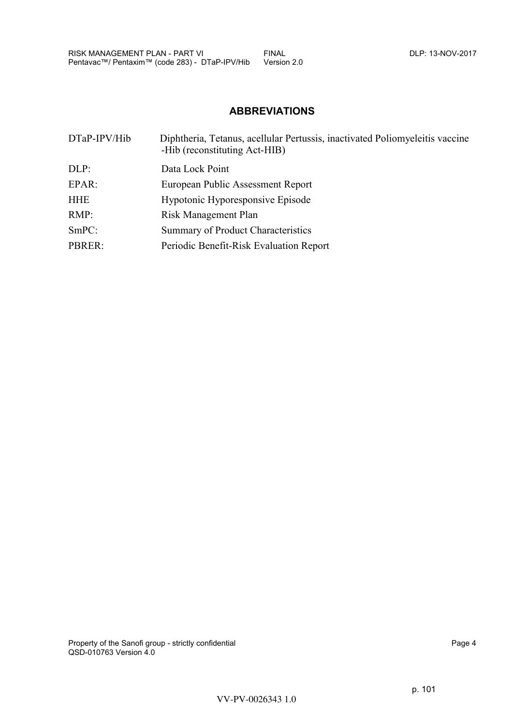# **ABBREVIATIONS**

<span id="page-3-0"></span>

| DTaP-IPV/Hib | Diphtheria, Tetanus, acellular Pertussis, inactivated Poliomyeleitis vaccine<br>-Hib (reconstituting Act-HIB) |
|--------------|---------------------------------------------------------------------------------------------------------------|
| DLP:         | Data Lock Point                                                                                               |
| EPAR:        | European Public Assessment Report                                                                             |
| <b>HHE</b>   | Hypotonic Hyporesponsive Episode                                                                              |
| RMP:         | Risk Management Plan                                                                                          |
| SmPC:        | <b>Summary of Product Characteristics</b>                                                                     |
| PBRER:       | Periodic Benefit-Risk Evaluation Report                                                                       |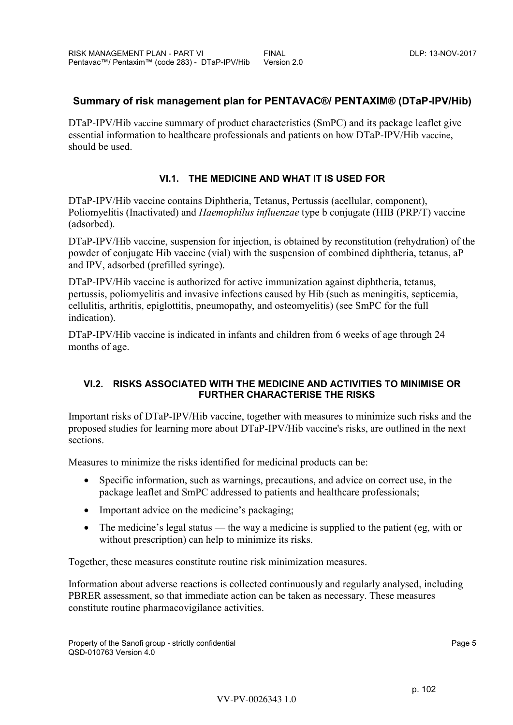## <span id="page-4-0"></span>**Summary of risk management plan for PENTAVAC®/ PENTAXIM® (DTaP-IPV/Hib)**

DTaP-IPV/Hib vaccine summary of product characteristics (SmPC) and its package leaflet give essential information to healthcare professionals and patients on how DTaP-IPV/Hib vaccine, should be used.

## **VI.1. THE MEDICINE AND WHAT IT IS USED FOR**

DTaP-IPV/Hib vaccine contains Diphtheria, Tetanus, Pertussis (acellular, component), Poliomyelitis (Inactivated) and *Haemophilus influenzae* type b conjugate (HIB (PRP/T) vaccine (adsorbed).

DTaP-IPV/Hib vaccine, suspension for injection, is obtained by reconstitution (rehydration) of the powder of conjugate Hib vaccine (vial) with the suspension of combined diphtheria, tetanus, aP and IPV, adsorbed (prefilled syringe).

DTaP-IPV/Hib vaccine is authorized for active immunization against diphtheria, tetanus, pertussis, poliomyelitis and invasive infections caused by Hib (such as meningitis, septicemia, cellulitis, arthritis, epiglottitis, pneumopathy, and osteomyelitis) (see SmPC for the full indication).

DTaP-IPV/Hib vaccine is indicated in infants and children from 6 weeks of age through 24 months of age.

## **VI.2. RISKS ASSOCIATED WITH THE MEDICINE AND ACTIVITIES TO MINIMISE OR FURTHER CHARACTERISE THE RISKS**

Important risks of DTaP-IPV/Hib vaccine, together with measures to minimize such risks and the proposed studies for learning more about DTaP-IPV/Hib vaccine's risks, are outlined in the next sections.

Measures to minimize the risks identified for medicinal products can be:

- Specific information, such as warnings, precautions, and advice on correct use, in the package leaflet and SmPC addressed to patients and healthcare professionals;
- Important advice on the medicine's packaging;
- The medicine's legal status the way a medicine is supplied to the patient (eg, with or without prescription) can help to minimize its risks.

Together, these measures constitute routine risk minimization measures.

Information about adverse reactions is collected continuously and regularly analysed, including PBRER assessment, so that immediate action can be taken as necessary. These measures constitute routine pharmacovigilance activities.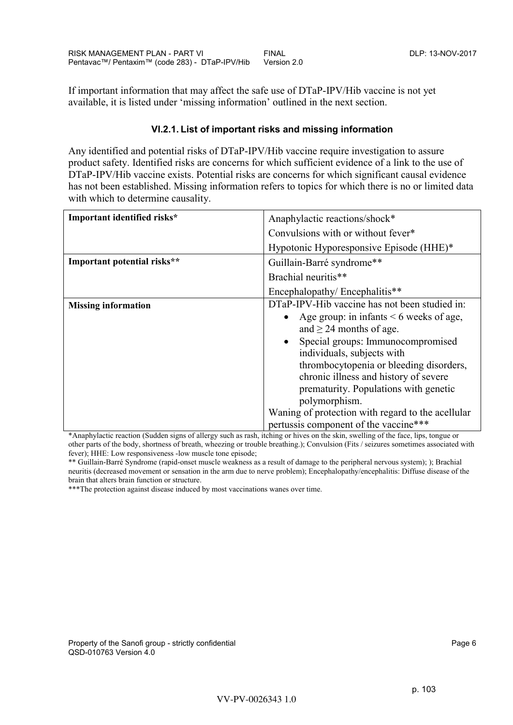<span id="page-5-0"></span>If important information that may affect the safe use of DTaP-IPV/Hib vaccine is not yet available, it is listed under 'missing information' outlined in the next section.

## **VI.2.1. List of important risks and missing information**

Any identified and potential risks of DTaP-IPV/Hib vaccine require investigation to assure product safety. Identified risks are concerns for which sufficient evidence of a link to the use of DTaP-IPV/Hib vaccine exists. Potential risks are concerns for which significant causal evidence has not been established. Missing information refers to topics for which there is no or limited data with which to determine causality.

| Important identified risks* | Anaphylactic reactions/shock*                                                                                                                                                                                                                                                                                                                  |
|-----------------------------|------------------------------------------------------------------------------------------------------------------------------------------------------------------------------------------------------------------------------------------------------------------------------------------------------------------------------------------------|
|                             | Convulsions with or without fever*                                                                                                                                                                                                                                                                                                             |
|                             | Hypotonic Hyporesponsive Episode (HHE)*                                                                                                                                                                                                                                                                                                        |
| Important potential risks** | Guillain-Barré syndrome**                                                                                                                                                                                                                                                                                                                      |
|                             | Brachial neuritis**                                                                                                                                                                                                                                                                                                                            |
|                             | Encephalopathy/Encephalitis**                                                                                                                                                                                                                                                                                                                  |
| <b>Missing information</b>  | DTaP-IPV-Hib vaccine has not been studied in:<br>Age group: in infants $\leq 6$ weeks of age,<br>and $\geq$ 24 months of age.<br>Special groups: Immunocompromised<br>individuals, subjects with<br>thrombocytopenia or bleeding disorders,<br>chronic illness and history of severe<br>prematurity. Populations with genetic<br>polymorphism. |
|                             | Waning of protection with regard to the acellular<br>pertussis component of the vaccine***                                                                                                                                                                                                                                                     |

\*Anaphylactic reaction (Sudden signs of allergy such as rash, itching or hives on the skin, swelling of the face, lips, tongue or other parts of the body, shortness of breath, wheezing or trouble breathing.); Convulsion (Fits / seizures sometimes associated with fever); HHE: Low responsiveness -low muscle tone episode;

\*\* Guillain-Barré Syndrome (rapid-onset muscle weakness as a result of damage to the peripheral nervous system); ); Brachial neuritis (decreased movement or sensation in the arm due to nerve problem); Encephalopathy/encephalitis: Diffuse disease of the brain that alters brain function or structure.

\*\*\*The protection against disease induced by most vaccinations wanes over time.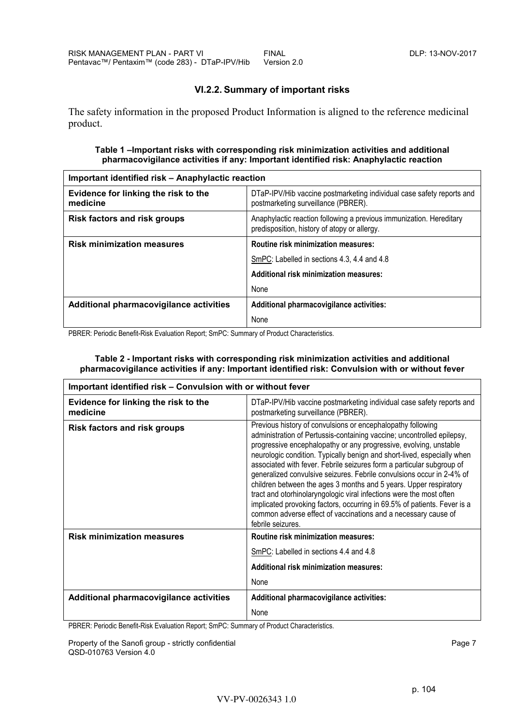## **VI.2.2. Summary of important risks**

<span id="page-6-0"></span>The safety information in the proposed Product Information is aligned to the reference medicinal product.

#### **Table 1 –Important risks with corresponding risk minimization activities and additional pharmacovigilance activities if any: Important identified risk: Anaphylactic reaction**

| Important identified risk - Anaphylactic reaction |                                                                                                                     |
|---------------------------------------------------|---------------------------------------------------------------------------------------------------------------------|
| Evidence for linking the risk to the<br>medicine  | DTaP-IPV/Hib vaccine postmarketing individual case safety reports and<br>postmarketing surveillance (PBRER).        |
| <b>Risk factors and risk groups</b>               | Anaphylactic reaction following a previous immunization. Hereditary<br>predisposition, history of atopy or allergy. |
| <b>Risk minimization measures</b>                 | <b>Routine risk minimization measures:</b>                                                                          |
|                                                   | SmPC: Labelled in sections 4.3, 4.4 and 4.8                                                                         |
|                                                   | Additional risk minimization measures:                                                                              |
|                                                   | None                                                                                                                |
| Additional pharmacovigilance activities           | Additional pharmacovigilance activities:                                                                            |
|                                                   | None                                                                                                                |

PBRER: Periodic Benefit-Risk Evaluation Report; SmPC: Summary of Product Characteristics.

#### **Table 2 - Important risks with corresponding risk minimization activities and additional pharmacovigilance activities if any: Important identified risk: Convulsion with or without fever**

| Important identified risk - Convulsion with or without fever |                                                                                                                                                                                                                                                                                                                                                                                                                                                                                                                                                                                                                                                                                                                                                        |
|--------------------------------------------------------------|--------------------------------------------------------------------------------------------------------------------------------------------------------------------------------------------------------------------------------------------------------------------------------------------------------------------------------------------------------------------------------------------------------------------------------------------------------------------------------------------------------------------------------------------------------------------------------------------------------------------------------------------------------------------------------------------------------------------------------------------------------|
| Evidence for linking the risk to the<br>medicine             | DTaP-IPV/Hib vaccine postmarketing individual case safety reports and<br>postmarketing surveillance (PBRER).                                                                                                                                                                                                                                                                                                                                                                                                                                                                                                                                                                                                                                           |
| <b>Risk factors and risk groups</b>                          | Previous history of convulsions or encephalopathy following<br>administration of Pertussis-containing vaccine; uncontrolled epilepsy,<br>progressive encephalopathy or any progressive, evolving, unstable<br>neurologic condition. Typically benign and short-lived, especially when<br>associated with fever. Febrile seizures form a particular subgroup of<br>generalized convulsive seizures. Febrile convulsions occur in 2-4% of<br>children between the ages 3 months and 5 years. Upper respiratory<br>tract and otorhinolaryngologic viral infections were the most often<br>implicated provoking factors, occurring in 69.5% of patients. Fever is a<br>common adverse effect of vaccinations and a necessary cause of<br>febrile seizures. |
| <b>Risk minimization measures</b>                            | <b>Routine risk minimization measures:</b>                                                                                                                                                                                                                                                                                                                                                                                                                                                                                                                                                                                                                                                                                                             |
|                                                              | SmPC: Labelled in sections 4.4 and 4.8                                                                                                                                                                                                                                                                                                                                                                                                                                                                                                                                                                                                                                                                                                                 |
|                                                              | Additional risk minimization measures:                                                                                                                                                                                                                                                                                                                                                                                                                                                                                                                                                                                                                                                                                                                 |
|                                                              | None                                                                                                                                                                                                                                                                                                                                                                                                                                                                                                                                                                                                                                                                                                                                                   |
| Additional pharmacovigilance activities                      | Additional pharmacovigilance activities:                                                                                                                                                                                                                                                                                                                                                                                                                                                                                                                                                                                                                                                                                                               |
|                                                              | None                                                                                                                                                                                                                                                                                                                                                                                                                                                                                                                                                                                                                                                                                                                                                   |

PBRER: Periodic Benefit-Risk Evaluation Report; SmPC: Summary of Product Characteristics.

Property of the Sanofi group - strictly confidential **Property and Page 7** Page 7 QSD-010763 Version 4.0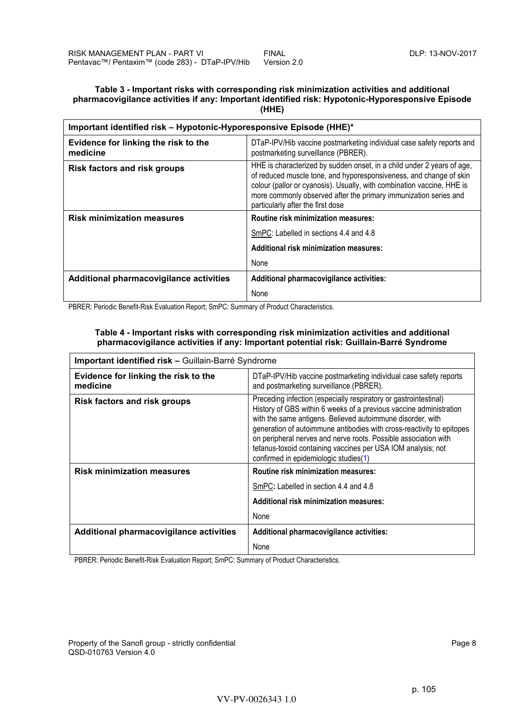#### <span id="page-7-0"></span>**Table 3 - Important risks with corresponding risk minimization activities and additional pharmacovigilance activities if any: Important identified risk: Hypotonic-Hyporesponsive Episode (HHE)**

| Important identified risk - Hypotonic-Hyporesponsive Episode (HHE)* |                                                                                                                                                                                                                                                                                                                                 |
|---------------------------------------------------------------------|---------------------------------------------------------------------------------------------------------------------------------------------------------------------------------------------------------------------------------------------------------------------------------------------------------------------------------|
| Evidence for linking the risk to the<br>medicine                    | DTaP-IPV/Hib vaccine postmarketing individual case safety reports and<br>postmarketing surveillance (PBRER).                                                                                                                                                                                                                    |
| <b>Risk factors and risk groups</b>                                 | HHE is characterized by sudden onset, in a child under 2 years of age,<br>of reduced muscle tone, and hyporesponsiveness, and change of skin<br>colour (pallor or cyanosis). Usually, with combination vaccine, HHE is<br>more commonly observed after the primary immunization series and<br>particularly after the first dose |
| <b>Risk minimization measures</b>                                   | Routine risk minimization measures:                                                                                                                                                                                                                                                                                             |
|                                                                     | SmPC: Labelled in sections 4.4 and 4.8                                                                                                                                                                                                                                                                                          |
|                                                                     | Additional risk minimization measures:                                                                                                                                                                                                                                                                                          |
|                                                                     | None                                                                                                                                                                                                                                                                                                                            |
| Additional pharmacovigilance activities                             | Additional pharmacovigilance activities:                                                                                                                                                                                                                                                                                        |
|                                                                     | None                                                                                                                                                                                                                                                                                                                            |

PBRER: Periodic Benefit-Risk Evaluation Report; SmPC: Summary of Product Characteristics.

#### **Table 4 - Important risks with corresponding risk minimization activities and additional pharmacovigilance activities if any: Important potential risk: Guillain-Barré Syndrome**

| Important identified risk - Guillain-Barré Syndrome |                                                                                                                                                                                                                                                                                                                                                                                                                                                           |
|-----------------------------------------------------|-----------------------------------------------------------------------------------------------------------------------------------------------------------------------------------------------------------------------------------------------------------------------------------------------------------------------------------------------------------------------------------------------------------------------------------------------------------|
| Evidence for linking the risk to the<br>medicine    | DTaP-IPV/Hib vaccine postmarketing individual case safety reports<br>and postmarketing surveillance (PBRER).                                                                                                                                                                                                                                                                                                                                              |
| <b>Risk factors and risk groups</b>                 | Preceding infection (especially respiratory or gastrointestinal)<br>History of GBS within 6 weeks of a previous vaccine administration<br>with the same antigens. Believed autoimmune disorder, with<br>generation of autoimmune antibodies with cross-reactivity to epitopes<br>on peripheral nerves and nerve roots. Possible association with<br>tetanus-toxoid containing vaccines per USA IOM analysis; not<br>confirmed in epidemiologic studies(1) |
| <b>Risk minimization measures</b>                   | <b>Routine risk minimization measures:</b>                                                                                                                                                                                                                                                                                                                                                                                                                |
|                                                     | SmPC: Labelled in section 4.4 and 4.8                                                                                                                                                                                                                                                                                                                                                                                                                     |
|                                                     | Additional risk minimization measures:                                                                                                                                                                                                                                                                                                                                                                                                                    |
|                                                     | None                                                                                                                                                                                                                                                                                                                                                                                                                                                      |
| Additional pharmacovigilance activities             | Additional pharmacovigilance activities:                                                                                                                                                                                                                                                                                                                                                                                                                  |
|                                                     | None                                                                                                                                                                                                                                                                                                                                                                                                                                                      |

PBRER: Periodic Benefit-Risk Evaluation Report; SmPC: Summary of Product Characteristics.

Property of the Sanofi group - strictly confidential Page 8 QSD-010763 Version 4.0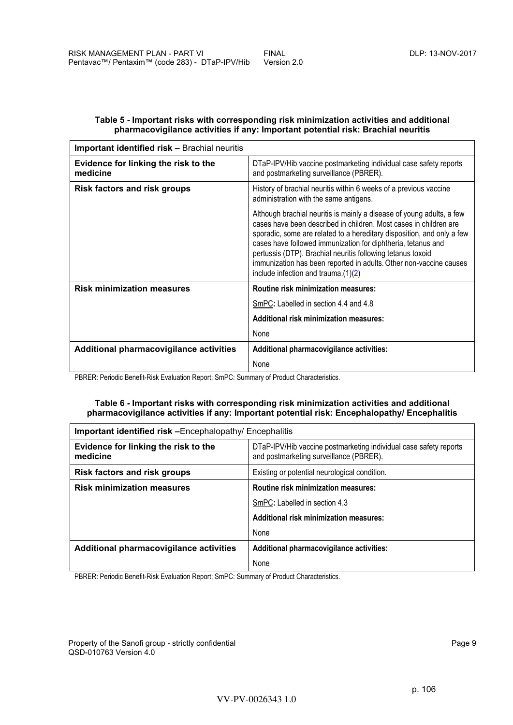#### <span id="page-8-0"></span>**Table 5 - Important risks with corresponding risk minimization activities and additional pharmacovigilance activities if any: Important potential risk: Brachial neuritis**

| Important identified risk - Brachial neuritis    |                                                                                                                                                                                                                                                                                                                                                                                                                                                                     |
|--------------------------------------------------|---------------------------------------------------------------------------------------------------------------------------------------------------------------------------------------------------------------------------------------------------------------------------------------------------------------------------------------------------------------------------------------------------------------------------------------------------------------------|
| Evidence for linking the risk to the<br>medicine | DTaP-IPV/Hib vaccine postmarketing individual case safety reports<br>and postmarketing surveillance (PBRER).                                                                                                                                                                                                                                                                                                                                                        |
| <b>Risk factors and risk groups</b>              | History of brachial neuritis within 6 weeks of a previous vaccine<br>administration with the same antigens.                                                                                                                                                                                                                                                                                                                                                         |
|                                                  | Although brachial neuritis is mainly a disease of young adults, a few<br>cases have been described in children. Most cases in children are<br>sporadic, some are related to a hereditary disposition, and only a few<br>cases have followed immunization for diphtheria, tetanus and<br>pertussis (DTP). Brachial neuritis following tetanus toxoid<br>immunization has been reported in adults. Other non-vaccine causes<br>include infection and trauma. $(1)(2)$ |
| <b>Risk minimization measures</b>                | <b>Routine risk minimization measures:</b>                                                                                                                                                                                                                                                                                                                                                                                                                          |
|                                                  | SmPC: Labelled in section 4.4 and 4.8                                                                                                                                                                                                                                                                                                                                                                                                                               |
|                                                  | Additional risk minimization measures:                                                                                                                                                                                                                                                                                                                                                                                                                              |
|                                                  | None                                                                                                                                                                                                                                                                                                                                                                                                                                                                |
| Additional pharmacovigilance activities          | Additional pharmacovigilance activities:                                                                                                                                                                                                                                                                                                                                                                                                                            |
|                                                  | None                                                                                                                                                                                                                                                                                                                                                                                                                                                                |

PBRER: Periodic Benefit-Risk Evaluation Report; SmPC: Summary of Product Characteristics.

#### **Table 6 - Important risks with corresponding risk minimization activities and additional pharmacovigilance activities if any: Important potential risk: Encephalopathy/ Encephalitis**

| Important identified risk -Encephalopathy/ Encephalitis |                                                                                                              |
|---------------------------------------------------------|--------------------------------------------------------------------------------------------------------------|
| Evidence for linking the risk to the<br>medicine        | DTaP-IPV/Hib vaccine postmarketing individual case safety reports<br>and postmarketing surveillance (PBRER). |
| <b>Risk factors and risk groups</b>                     | Existing or potential neurological condition.                                                                |
| <b>Risk minimization measures</b>                       | <b>Routine risk minimization measures:</b>                                                                   |
|                                                         | SmPC: Labelled in section 4.3                                                                                |
|                                                         | Additional risk minimization measures:                                                                       |
|                                                         | None                                                                                                         |
| Additional pharmacovigilance activities                 | Additional pharmacovigilance activities:                                                                     |
|                                                         | None                                                                                                         |

PBRER: Periodic Benefit-Risk Evaluation Report; SmPC: Summary of Product Characteristics.

Property of the Sanofi group - strictly confidential Page 9 QSD-010763 Version 4.0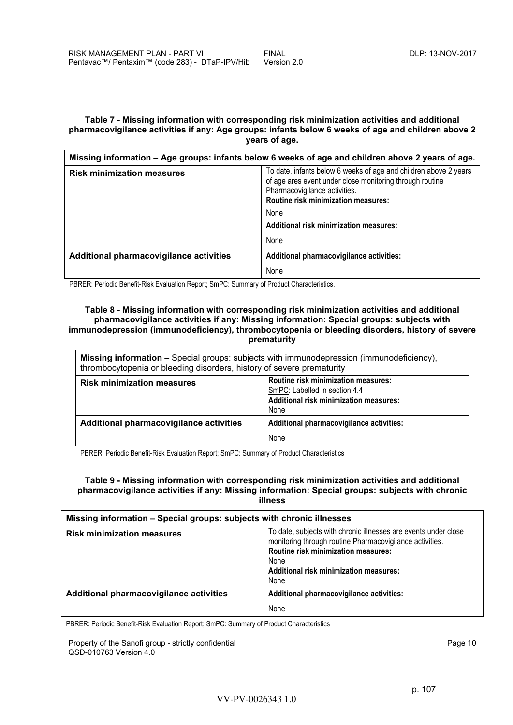#### <span id="page-9-0"></span>**Table 7 - Missing information with corresponding risk minimization activities and additional pharmacovigilance activities if any: Age groups: infants below 6 weeks of age and children above 2 years of age.**

| Missing information - Age groups: infants below 6 weeks of age and children above 2 years of age. |                                                                                                                                                                                                                                                        |
|---------------------------------------------------------------------------------------------------|--------------------------------------------------------------------------------------------------------------------------------------------------------------------------------------------------------------------------------------------------------|
| <b>Risk minimization measures</b>                                                                 | To date, infants below 6 weeks of age and children above 2 years<br>of age ares event under close monitoring through routine<br>Pharmacovigilance activities.<br>Routine risk minimization measures:<br>None<br>Additional risk minimization measures: |
|                                                                                                   | None                                                                                                                                                                                                                                                   |
| Additional pharmacovigilance activities                                                           | Additional pharmacovigilance activities:                                                                                                                                                                                                               |
|                                                                                                   | None                                                                                                                                                                                                                                                   |

PBRER: Periodic Benefit-Risk Evaluation Report; SmPC: Summary of Product Characteristics.

#### **Table 8 - Missing information with corresponding risk minimization activities and additional pharmacovigilance activities if any: Missing information: Special groups: subjects with immunodepression (immunodeficiency), thrombocytopenia or bleeding disorders, history of severe prematurity**

| Missing information - Special groups: subjects with immunodepression (immunodeficiency),<br>thrombocytopenia or bleeding disorders, history of severe prematurity |                                                                                                                        |  |
|-------------------------------------------------------------------------------------------------------------------------------------------------------------------|------------------------------------------------------------------------------------------------------------------------|--|
| <b>Risk minimization measures</b>                                                                                                                                 | Routine risk minimization measures:<br>SmPC: Labelled in section 4.4<br>Additional risk minimization measures:<br>None |  |
| Additional pharmacovigilance activities                                                                                                                           | Additional pharmacovigilance activities:<br>None                                                                       |  |

PBRER: Periodic Benefit-Risk Evaluation Report; SmPC: Summary of Product Characteristics

#### **Table 9 - Missing information with corresponding risk minimization activities and additional pharmacovigilance activities if any: Missing information: Special groups: subjects with chronic illness**

| Missing information - Special groups: subjects with chronic illnesses |                                                                                                                                                                                                                                     |
|-----------------------------------------------------------------------|-------------------------------------------------------------------------------------------------------------------------------------------------------------------------------------------------------------------------------------|
| <b>Risk minimization measures</b>                                     | To date, subjects with chronic illnesses are events under close<br>monitoring through routine Pharmacovigilance activities.<br><b>Routine risk minimization measures:</b><br>None<br>Additional risk minimization measures:<br>None |
| Additional pharmacovigilance activities                               | Additional pharmacovigilance activities:                                                                                                                                                                                            |
|                                                                       | None                                                                                                                                                                                                                                |

PBRER: Periodic Benefit-Risk Evaluation Report; SmPC: Summary of Product Characteristics

Property of the Sanofi group - strictly confidential Page 10 QSD-010763 Version 4.0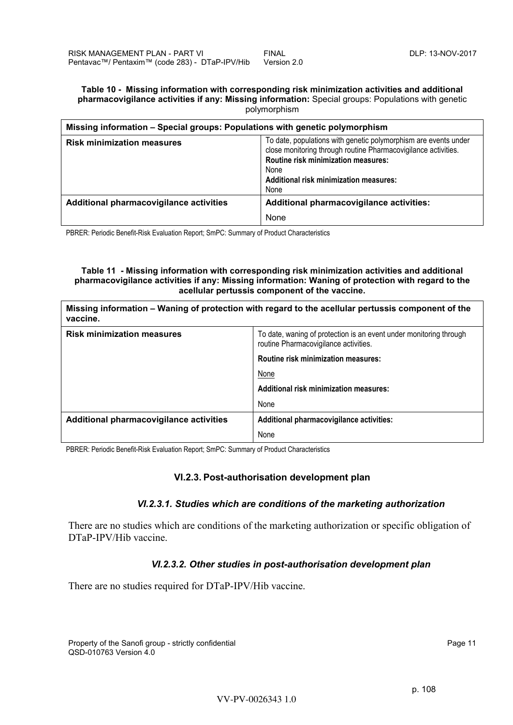#### <span id="page-10-0"></span>**Table 10 - Missing information with corresponding risk minimization activities and additional pharmacovigilance activities if any: Missing information:** Special groups: Populations with genetic polymorphism

| Missing information – Special groups: Populations with genetic polymorphism |                                                                                                                                                                                                                                           |  |
|-----------------------------------------------------------------------------|-------------------------------------------------------------------------------------------------------------------------------------------------------------------------------------------------------------------------------------------|--|
| <b>Risk minimization measures</b>                                           | To date, populations with genetic polymorphism are events under<br>close monitoring through routine Pharmacovigilance activities.<br><b>Routine risk minimization measures:</b><br>None<br>Additional risk minimization measures:<br>None |  |
| Additional pharmacovigilance activities                                     | Additional pharmacovigilance activities:                                                                                                                                                                                                  |  |
|                                                                             | None                                                                                                                                                                                                                                      |  |

PBRER: Periodic Benefit-Risk Evaluation Report; SmPC: Summary of Product Characteristics

#### **Table 11 - Missing information with corresponding risk minimization activities and additional pharmacovigilance activities if any: Missing information: Waning of protection with regard to the acellular pertussis component of the vaccine.**

| vaccine.                                | Missing information – Waning of protection with regard to the acellular pertussis component of the          |
|-----------------------------------------|-------------------------------------------------------------------------------------------------------------|
| <b>Risk minimization measures</b>       | To date, waning of protection is an event under monitoring through<br>routine Pharmacovigilance activities. |
|                                         | <b>Routine risk minimization measures:</b>                                                                  |
|                                         | None                                                                                                        |
|                                         | Additional risk minimization measures:                                                                      |
|                                         | None                                                                                                        |
| Additional pharmacovigilance activities | Additional pharmacovigilance activities:                                                                    |
|                                         | None                                                                                                        |

PBRER: Periodic Benefit-Risk Evaluation Report; SmPC: Summary of Product Characteristics

## **VI.2.3. Post-authorisation development plan**

## *VI.2.3.1. Studies which are conditions of the marketing authorization*

There are no studies which are conditions of the marketing authorization or specific obligation of DTaP-IPV/Hib vaccine.

## *VI.2.3.2. Other studies in post-authorisation development plan*

There are no studies required for DTaP-IPV/Hib vaccine.

Property of the Sanofi group - strictly confidential Page 11 and 200 and 200 and 200 and 200 and 200 and 200 and 200 and 200 and 200 and 200 and 200 and 200 and 200 and 200 and 200 and 200 and 200 and 200 and 200 and 200 a QSD-010763 Version 4.0